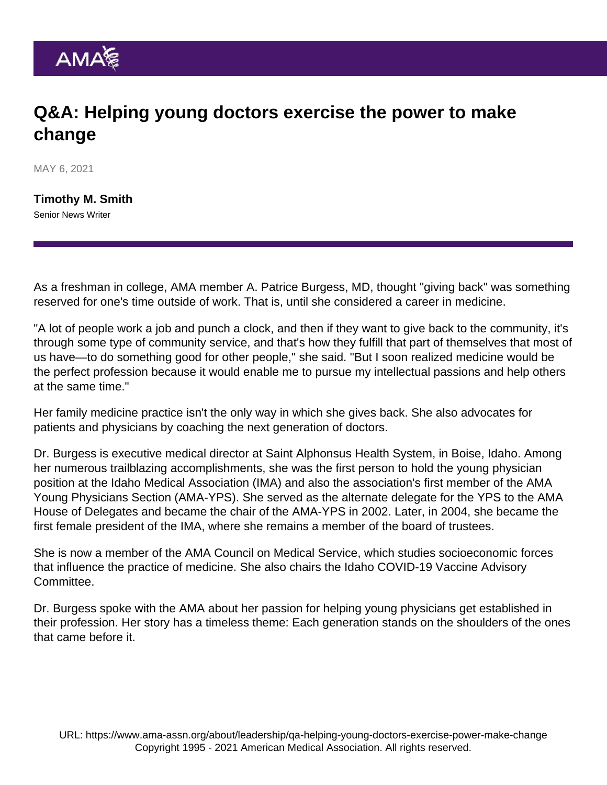## Q&A: Helping young doctors exercise the power to make change

MAY 6, 2021

[Timothy M. Smith](https://www.ama-assn.org/news-leadership-viewpoints/authors-news-leadership-viewpoints/timothy-m-smith) Senior News Writer

As a freshman in college, AMA member A. Patrice Burgess, MD, thought "giving back" was something reserved for one's time outside of work. That is, until she considered a career in medicine.

"A lot of people work a job and punch a clock, and then if they want to give back to the community, it's through some type of community service, and that's how they fulfill that part of themselves that most of us have—to do something good for other people," she said. "But I soon realized medicine would be the perfect profession because it would enable me to pursue my intellectual passions and help others at the same time."

Her family medicine practice isn't the only way in which she gives back. She also advocates for patients and physicians by coaching the next generation of doctors.

Dr. Burgess is executive medical director at Saint Alphonsus Health System, in Boise, Idaho. Among her numerous trailblazing accomplishments, she was the first person to hold the young physician position at the Idaho Medical Association (IMA) and also the association's first member of the [AMA](https://www.ama-assn.org/member-groups-sections/young-physicians) [Young Physicians Section](https://www.ama-assn.org/member-groups-sections/young-physicians) (AMA-YPS). She served as the alternate delegate for the YPS to the AMA House of Delegates and became the chair of the AMA-YPS in 2002. Later, in 2004, she became the first female president of the IMA, where she remains a member of the board of trustees.

She is now a member of the [AMA Council on Medical Service,](https://www.ama-assn.org/councils/council-medical-service) which studies socioeconomic forces that influence the practice of medicine. She also chairs the Idaho COVID-19 Vaccine Advisory Committee.

Dr. Burgess spoke with the AMA about her passion for helping young physicians get established in their profession. Her story has a timeless theme: Each generation stands on the shoulders of the ones that came before it.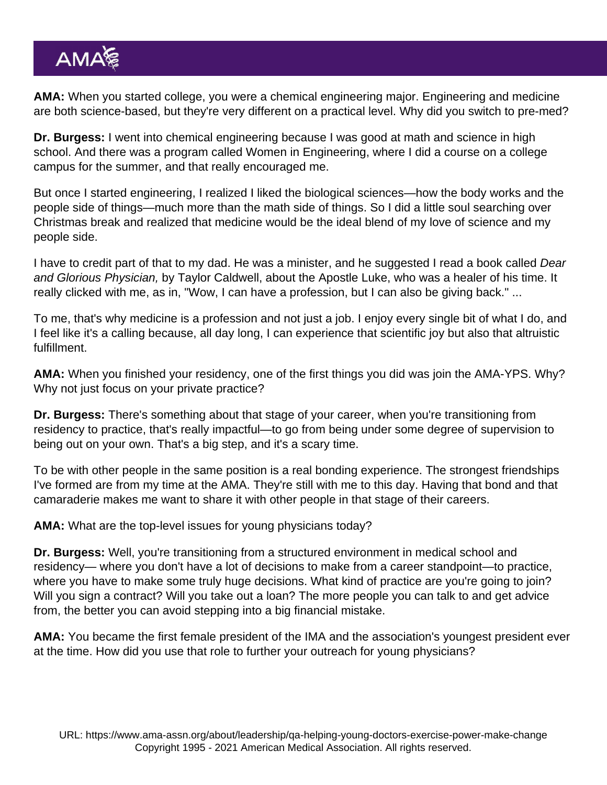AMA: When you started college, you were a chemical engineering major. Engineering and medicine are both science-based, but they're very different on a practical level. Why did you switch to pre-med?

Dr. Burgess: I went into chemical engineering because I was good at math and science in high school. And there was a program called Women in Engineering, where I did a course on a college campus for the summer, and that really encouraged me.

But once I started engineering, I realized I liked the biological sciences—how the body works and the people side of things—much more than the math side of things. So I did a little soul searching over Christmas break and realized that medicine would be the ideal blend of my love of science and my people side.

I have to credit part of that to my dad. He was a minister, and he suggested I read a book called Dear and Glorious Physician, by Taylor Caldwell, about the Apostle Luke, who was a healer of his time. It really clicked with me, as in, "Wow, I can have a profession, but I can also be giving back." ...

To me, that's why medicine is a profession and not just a job. I enjoy every single bit of what I do, and I feel like it's a calling because, all day long, I can experience that scientific joy but also that altruistic fulfillment.

AMA: When you finished your residency, one of the first things you did was join the AMA-YPS. Why? Why not just focus on your private practice?

Dr. Burgess: There's something about that stage of your career, when you're transitioning from residency to practice, that's really impactful—to go from being under some degree of supervision to being out on your own. That's a big step, and it's a scary time.

To be with other people in the same position is a real bonding experience. The strongest friendships I've formed are from my time at the AMA. They're still with me to this day. Having that bond and that camaraderie makes me want to share it with other people in that stage of their careers.

AMA: What are the top-level issues for young physicians today?

Dr. Burgess: Well, you're transitioning from a structured environment in medical school and residency— where you don't have a lot of decisions to make from a career standpoint—to practice, where you have to make some truly huge decisions. What kind of practice are you're going to join? Will you sign a contract? Will you take out a loan? The more people you can talk to and get advice from, the better you can avoid stepping into a big financial mistake.

AMA: You became the first female president of the IMA and the association's youngest president ever at the time. How did you use that role to further your outreach for young physicians?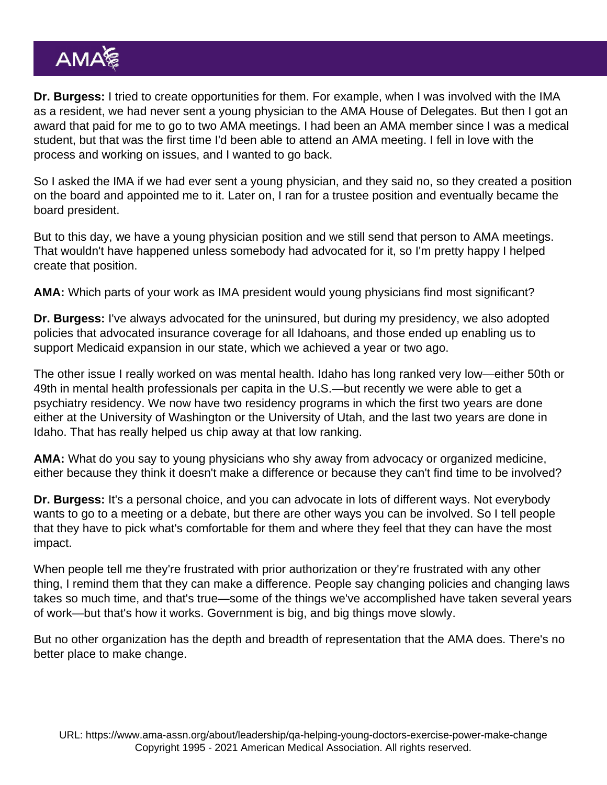Dr. Burgess: I tried to create opportunities for them. For example, when I was involved with the IMA as a resident, we had never sent a young physician to the [AMA House of Delegates](https://www.ama-assn.org/house-delegates). But then I got an award that paid for me to go to two AMA meetings. I had been an AMA member since I was a medical student, but that was the first time I'd been able to attend an AMA meeting. I fell in love with the process and working on issues, and I wanted to go back.

So I asked the IMA if we had ever sent a young physician, and they said no, so they created a position on the board and appointed me to it. Later on, I ran for a trustee position and eventually became the board president.

But to this day, we have a young physician position and we still send that person to AMA meetings. That wouldn't have happened unless somebody had advocated for it, so I'm pretty happy I helped create that position.

AMA: Which parts of your work as IMA president would young physicians find most significant?

Dr. Burgess: I've always advocated for the uninsured, but during my presidency, we also adopted policies that advocated insurance coverage for all Idahoans, and those ended up enabling us to support [Medicaid expansion](https://www.ama-assn.org/practice-management/medicare-medicaid/strengthening-medicaid) in our state, which we achieved a year or two ago.

The other issue I really worked on was mental health. Idaho has long ranked very low—either 50th or 49th in mental health professionals per capita in the U.S.—but recently we were able to get a psychiatry residency. We now have two residency programs in which the first two years are done either at the University of Washington or the University of Utah, and the last two years are done in Idaho. That has really helped us chip away at that low ranking.

AMA: What do you say to young physicians who shy away from advocacy or organized medicine, either because they think it doesn't make a difference or because they can't find time to be involved?

Dr. Burgess: It's a personal choice, and you can advocate in lots of different ways. Not everybody wants to go to a meeting or a debate, but there are other ways you can be involved. So I tell people that they have to pick what's comfortable for them and where they feel that they can have the most impact.

When people tell me they're frustrated with [prior authorization](https://fixpriorauth.org/) or they're frustrated with any other thing, I remind them that they can make a difference. People say changing policies and changing laws takes so much time, and that's true—some of the things we've accomplished have taken several years of work—but that's how it works. Government is big, and big things move slowly.

But no other organization has the depth and breadth of representation that the AMA does. There's no better place to make change.